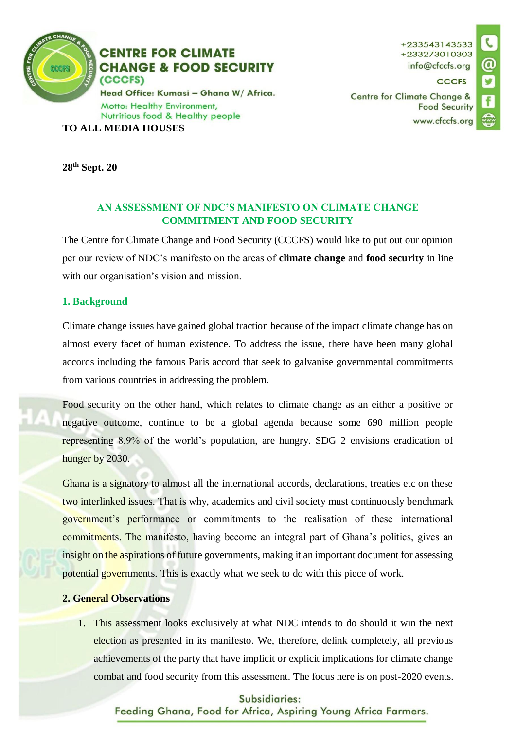

+233543143533 +233273010303 info@cfccfs.org

**CCCFS** 

Centre for Climate Change & **Food Security** www.cfccfs.org

**28th Sept. 20**

## **AN ASSESSMENT OF NDC'S MANIFESTO ON CLIMATE CHANGE COMMITMENT AND FOOD SECURITY**

The Centre for Climate Change and Food Security (CCCFS) would like to put out our opinion per our review of NDC's manifesto on the areas of **climate change** and **food security** in line with our organisation's vision and mission.

# **1. Background**

Climate change issues have gained global traction because of the impact climate change has on almost every facet of human existence. To address the issue, there have been many global accords including the famous Paris accord that seek to galvanise governmental commitments from various countries in addressing the problem.

Food security on the other hand, which relates to climate change as an either a positive or negative outcome, continue to be a global agenda because some 690 million people representing 8.9% of the world's population, are hungry. SDG 2 envisions eradication of hunger by 2030.

Ghana is a signatory to almost all the international accords, declarations, treaties etc on these two interlinked issues. That is why, academics and civil society must continuously benchmark government's performance or commitments to the realisation of these international commitments. The manifesto, having become an integral part of Ghana's politics, gives an insight on the aspirations of future governments, making it an important document for assessing potential governments. This is exactly what we seek to do with this piece of work.

## **2. General Observations**

1. This assessment looks exclusively at what NDC intends to do should it win the next election as presented in its manifesto. We, therefore, delink completely, all previous achievements of the party that have implicit or explicit implications for climate change combat and food security from this assessment. The focus here is on post-2020 events.

#### Subsidiaries:

Feeding Ghana, Food for Africa, Aspiring Young Africa Farmers.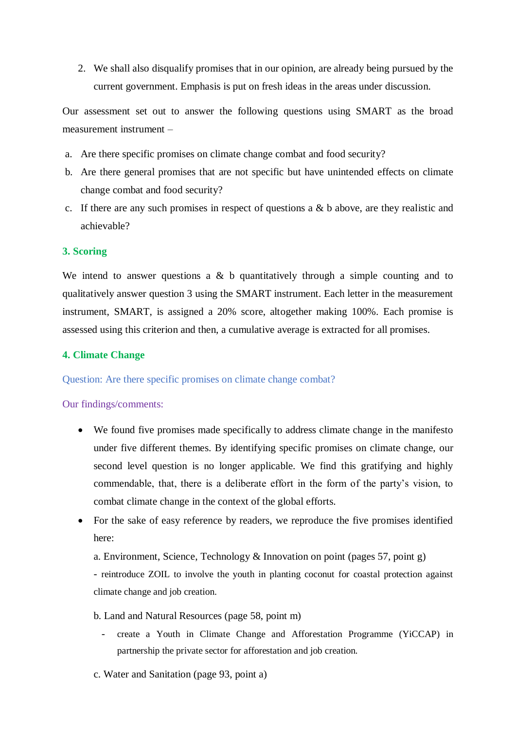2. We shall also disqualify promises that in our opinion, are already being pursued by the current government. Emphasis is put on fresh ideas in the areas under discussion.

Our assessment set out to answer the following questions using SMART as the broad measurement instrument –

- a. Are there specific promises on climate change combat and food security?
- b. Are there general promises that are not specific but have unintended effects on climate change combat and food security?
- c. If there are any such promises in respect of questions a & b above, are they realistic and achievable?

### **3. Scoring**

We intend to answer questions a  $\&$  b quantitatively through a simple counting and to qualitatively answer question 3 using the SMART instrument. Each letter in the measurement instrument, SMART, is assigned a 20% score, altogether making 100%. Each promise is assessed using this criterion and then, a cumulative average is extracted for all promises.

#### **4. Climate Change**

Question: Are there specific promises on climate change combat?

#### Our findings/comments:

- We found five promises made specifically to address climate change in the manifesto under five different themes. By identifying specific promises on climate change, our second level question is no longer applicable. We find this gratifying and highly commendable, that, there is a deliberate effort in the form of the party's vision, to combat climate change in the context of the global efforts.
- For the sake of easy reference by readers, we reproduce the five promises identified here:
	- a. Environment, Science, Technology & Innovation on point (pages 57, point g)

- reintroduce ZOIL to involve the youth in planting coconut for coastal protection against climate change and job creation.

- b. Land and Natural Resources (page 58, point m)
	- create a Youth in Climate Change and Afforestation Programme (YiCCAP) in partnership the private sector for afforestation and job creation.
- c. Water and Sanitation (page 93, point a)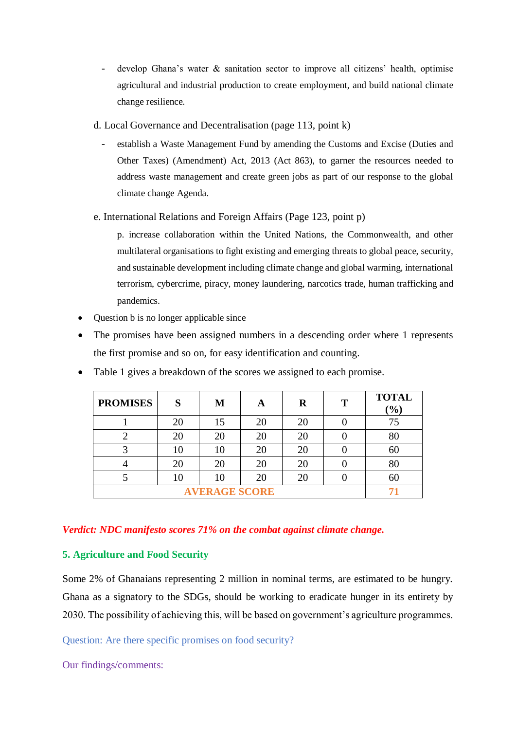- develop Ghana's water & sanitation sector to improve all citizens' health, optimise agricultural and industrial production to create employment, and build national climate change resilience.
- d. Local Governance and Decentralisation (page 113, point k)
	- establish a Waste Management Fund by amending the Customs and Excise (Duties and Other Taxes) (Amendment) Act, 2013 (Act 863), to garner the resources needed to address waste management and create green jobs as part of our response to the global climate change Agenda.
- e. International Relations and Foreign Affairs (Page 123, point p)

p. increase collaboration within the United Nations, the Commonwealth, and other multilateral organisations to fight existing and emerging threats to global peace, security, and sustainable development including climate change and global warming, international terrorism, cybercrime, piracy, money laundering, narcotics trade, human trafficking and pandemics.

- Question b is no longer applicable since
- The promises have been assigned numbers in a descending order where 1 represents the first promise and so on, for easy identification and counting.

| <b>PROMISES</b> | S  | M  | A  | R  | T | <b>TOTAL</b><br>$\frac{1}{2}$ |
|-----------------|----|----|----|----|---|-------------------------------|
|                 | 20 | 15 | 20 | 20 |   | 75                            |
|                 | 20 | 20 | 20 | 20 |   | 80                            |
|                 | 10 | 10 | 20 | 20 |   | 60                            |
|                 | 20 | 20 | 20 | 20 |   | 80                            |
|                 | 10 | 10 | 20 | 20 |   | 60                            |
|                 |    |    |    |    |   |                               |

• Table 1 gives a breakdown of the scores we assigned to each promise.

# *Verdict: NDC manifesto scores 71% on the combat against climate change.*

# **5. Agriculture and Food Security**

Some 2% of Ghanaians representing 2 million in nominal terms, are estimated to be hungry. Ghana as a signatory to the SDGs, should be working to eradicate hunger in its entirety by 2030. The possibility of achieving this, will be based on government's agriculture programmes.

Question: Are there specific promises on food security?

Our findings/comments: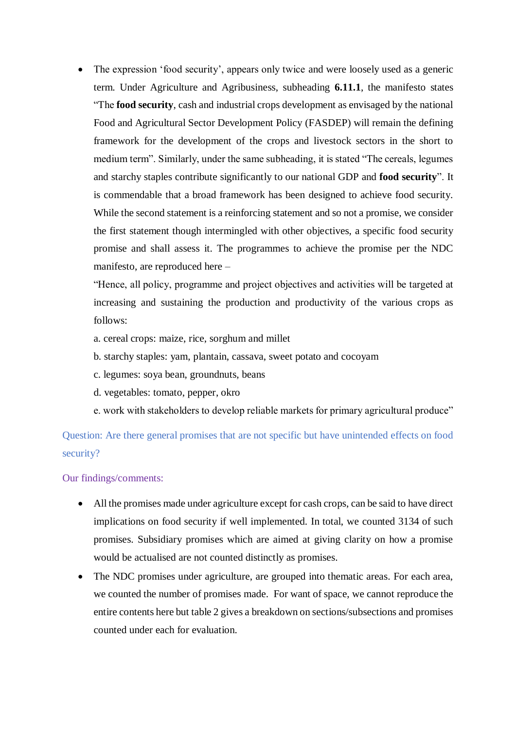The expression 'food security', appears only twice and were loosely used as a generic term. Under Agriculture and Agribusiness, subheading **6.11.1**, the manifesto states "The **food security**, cash and industrial crops development as envisaged by the national Food and Agricultural Sector Development Policy (FASDEP) will remain the defining framework for the development of the crops and livestock sectors in the short to medium term". Similarly, under the same subheading, it is stated "The cereals, legumes and starchy staples contribute significantly to our national GDP and **food security**". It is commendable that a broad framework has been designed to achieve food security. While the second statement is a reinforcing statement and so not a promise, we consider the first statement though intermingled with other objectives, a specific food security promise and shall assess it. The programmes to achieve the promise per the NDC manifesto, are reproduced here –

"Hence, all policy, programme and project objectives and activities will be targeted at increasing and sustaining the production and productivity of the various crops as follows:

- a. cereal crops: maize, rice, sorghum and millet
- b. starchy staples: yam, plantain, cassava, sweet potato and cocoyam
- c. legumes: soya bean, groundnuts, beans
- d. vegetables: tomato, pepper, okro
- e. work with stakeholders to develop reliable markets for primary agricultural produce"

Question: Are there general promises that are not specific but have unintended effects on food security?

Our findings/comments:

- All the promises made under agriculture except for cash crops, can be said to have direct implications on food security if well implemented. In total, we counted 3134 of such promises. Subsidiary promises which are aimed at giving clarity on how a promise would be actualised are not counted distinctly as promises.
- The NDC promises under agriculture, are grouped into thematic areas. For each area, we counted the number of promises made. For want of space, we cannot reproduce the entire contents here but table 2 gives a breakdown on sections/subsections and promises counted under each for evaluation.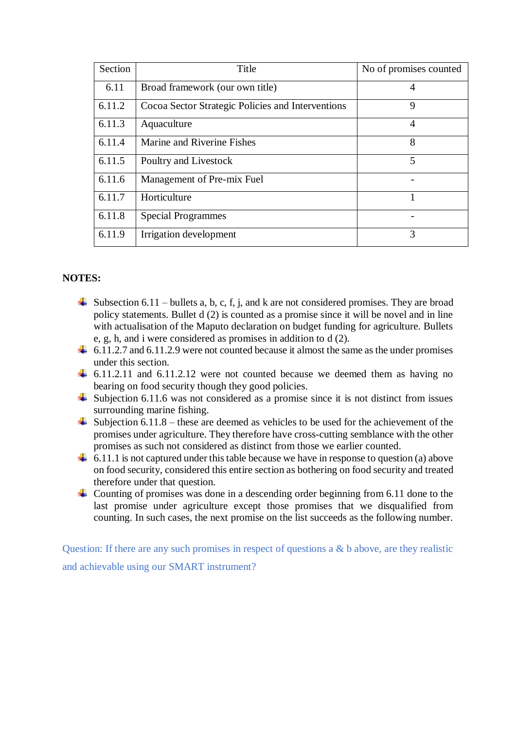| Section | Title                                             | No of promises counted |
|---------|---------------------------------------------------|------------------------|
| 6.11    | Broad framework (our own title)                   | 4                      |
| 6.11.2  | Cocoa Sector Strategic Policies and Interventions | 9                      |
| 6.11.3  | Aquaculture                                       | 4                      |
| 6.11.4  | Marine and Riverine Fishes                        | 8                      |
| 6.11.5  | Poultry and Livestock                             | 5                      |
| 6.11.6  | Management of Pre-mix Fuel                        |                        |
| 6.11.7  | Horticulture                                      | 1                      |
| 6.11.8  | <b>Special Programmes</b>                         |                        |
| 6.11.9  | Irrigation development                            | 3                      |

### **NOTES:**

- $\downarrow$  Subsection 6.11 bullets a, b, c, f, j, and k are not considered promises. They are broad policy statements. Bullet d (2) is counted as a promise since it will be novel and in line with actualisation of the Maputo declaration on budget funding for agriculture. Bullets e, g, h, and i were considered as promises in addition to d (2).
- $\ddot{+}$  6.11.2.7 and 6.11.2.9 were not counted because it almost the same as the under promises under this section.
- $\ddot{+}$  6.11.2.11 and 6.11.2.12 were not counted because we deemed them as having no bearing on food security though they good policies.
- $\frac{1}{\sqrt{1}}$  Subjection 6.11.6 was not considered as a promise since it is not distinct from issues surrounding marine fishing.
- $\overline{\text{L}}$  Subjection 6.11.8 these are deemed as vehicles to be used for the achievement of the promises under agriculture. They therefore have cross-cutting semblance with the other promises as such not considered as distinct from those we earlier counted.
- $\downarrow$  6.11.1 is not captured under this table because we have in response to question (a) above on food security, considered this entire section as bothering on food security and treated therefore under that question.
- Counting of promises was done in a descending order beginning from 6.11 done to the last promise under agriculture except those promises that we disqualified from counting. In such cases, the next promise on the list succeeds as the following number.

Question: If there are any such promises in respect of questions a & b above, are they realistic and achievable using our SMART instrument?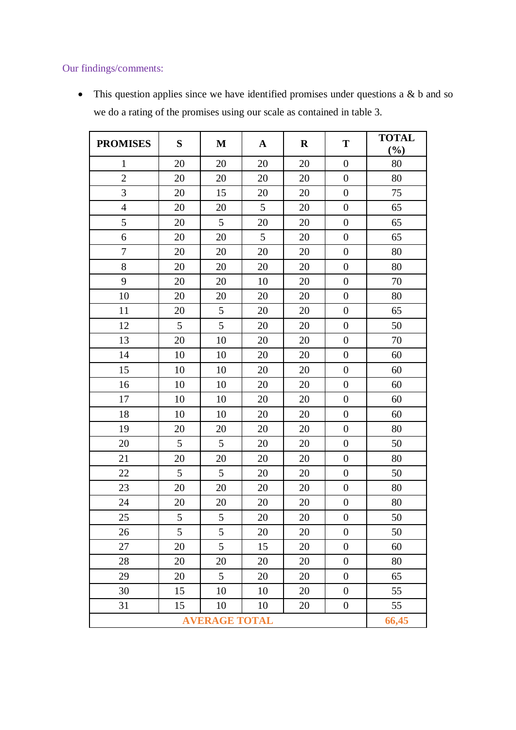# Our findings/comments:

• This question applies since we have identified promises under questions a & b and so we do a rating of the promises using our scale as contained in table 3.

| <b>PROMISES</b> | S     | $\mathbf M$ | $\mathbf A$ | $\mathbf R$ | T                | <b>TOTAL</b><br>$(\%)$ |
|-----------------|-------|-------------|-------------|-------------|------------------|------------------------|
| $\mathbf{1}$    | 20    | 20          | 20          | 20          | $\boldsymbol{0}$ | 80                     |
| $\overline{2}$  | 20    | 20          | 20          | 20          | $\boldsymbol{0}$ | 80                     |
| 3               | 20    | 15          | 20          | 20          | $\boldsymbol{0}$ | 75                     |
| $\overline{4}$  | 20    | 20          | 5           | 20          | $\boldsymbol{0}$ | 65                     |
| 5               | 20    | 5           | 20          | 20          | $\boldsymbol{0}$ | 65                     |
| 6               | 20    | 20          | 5           | 20          | $\boldsymbol{0}$ | 65                     |
| $\overline{7}$  | 20    | 20          | 20          | 20          | $\boldsymbol{0}$ | 80                     |
| 8               | 20    | 20          | 20          | 20          | $\boldsymbol{0}$ | 80                     |
| 9               | 20    | 20          | 10          | 20          | $\boldsymbol{0}$ | 70                     |
| 10              | 20    | 20          | 20          | 20          | $\boldsymbol{0}$ | 80                     |
| 11              | 20    | 5           | 20          | 20          | $\boldsymbol{0}$ | 65                     |
| 12              | 5     | 5           | 20          | 20          | $\boldsymbol{0}$ | 50                     |
| 13              | 20    | 10          | 20          | 20          | $\boldsymbol{0}$ | 70                     |
| 14              | 10    | 10          | 20          | 20          | $\boldsymbol{0}$ | 60                     |
| 15              | 10    | 10          | 20          | 20          | $\boldsymbol{0}$ | 60                     |
| 16              | 10    | 10          | 20          | 20          | $\boldsymbol{0}$ | 60                     |
| 17              | 10    | 10          | 20          | 20          | $\boldsymbol{0}$ | 60                     |
| 18              | 10    | 10          | 20          | 20          | $\boldsymbol{0}$ | 60                     |
| 19              | 20    | 20          | 20          | 20          | $\boldsymbol{0}$ | 80                     |
| 20              | 5     | 5           | 20          | 20          | $\boldsymbol{0}$ | 50                     |
| 21              | 20    | 20          | 20          | 20          | $\boldsymbol{0}$ | 80                     |
| 22              | 5     | 5           | 20          | 20          | $\boldsymbol{0}$ | 50                     |
| 23              | 20    | 20          | 20          | 20          | $\boldsymbol{0}$ | 80                     |
| 24              | 20    | 20          | 20          | 20          | $\boldsymbol{0}$ | 80                     |
| 25              | 5     | 5           | 20          | 20          | $\boldsymbol{0}$ | 50                     |
| 26              | 5     | 5           | 20          | 20          | $\boldsymbol{0}$ | 50                     |
| 27              | 20    | 5           | 15          | 20          | $\boldsymbol{0}$ | 60                     |
| 28              | 20    | 20          | 20          | 20          | $\boldsymbol{0}$ | 80                     |
| 29              | 20    | 5           | 20          | 20          | $\boldsymbol{0}$ | 65                     |
| 30              | 15    | 10          | 10          | 20          | $\boldsymbol{0}$ | 55                     |
| 31              | 15    | 10          | 10          | 20          | $\boldsymbol{0}$ | 55                     |
|                 | 66,45 |             |             |             |                  |                        |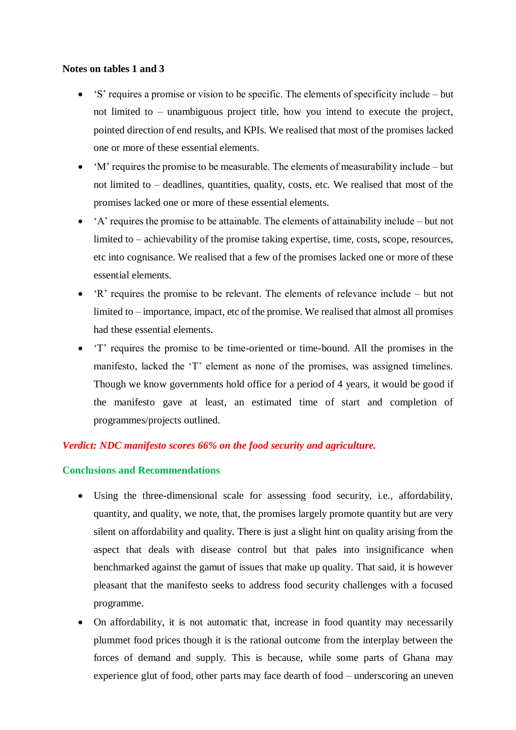#### **Notes on tables 1 and 3**

- 'S' requires a promise or vision to be specific. The elements of specificity include but not limited to – unambiguous project title, how you intend to execute the project, pointed direction of end results, and KPIs. We realised that most of the promises lacked one or more of these essential elements.
- 'M' requires the promise to be measurable. The elements of measurability include but not limited to – deadlines, quantities, quality, costs, etc. We realised that most of the promises lacked one or more of these essential elements.
- 'A' requires the promise to be attainable. The elements of attainability include but not limited to – achievability of the promise taking expertise, time, costs, scope, resources, etc into cognisance. We realised that a few of the promises lacked one or more of these essential elements.
- 'R' requires the promise to be relevant. The elements of relevance include but not limited to – importance, impact, etc of the promise. We realised that almost all promises had these essential elements.
- 'T' requires the promise to be time-oriented or time-bound. All the promises in the manifesto, lacked the 'T' element as none of the promises, was assigned timelines. Though we know governments hold office for a period of 4 years, it would be good if the manifesto gave at least, an estimated time of start and completion of programmes/projects outlined.

## *Verdict: NDC manifesto scores 66% on the food security and agriculture.*

## **Conclusions and Recommendations**

- Using the three-dimensional scale for assessing food security, i.e., affordability, quantity, and quality, we note, that, the promises largely promote quantity but are very silent on affordability and quality. There is just a slight hint on quality arising from the aspect that deals with disease control but that pales into insignificance when benchmarked against the gamut of issues that make up quality. That said, it is however pleasant that the manifesto seeks to address food security challenges with a focused programme.
- On affordability, it is not automatic that, increase in food quantity may necessarily plummet food prices though it is the rational outcome from the interplay between the forces of demand and supply. This is because, while some parts of Ghana may experience glut of food, other parts may face dearth of food – underscoring an uneven